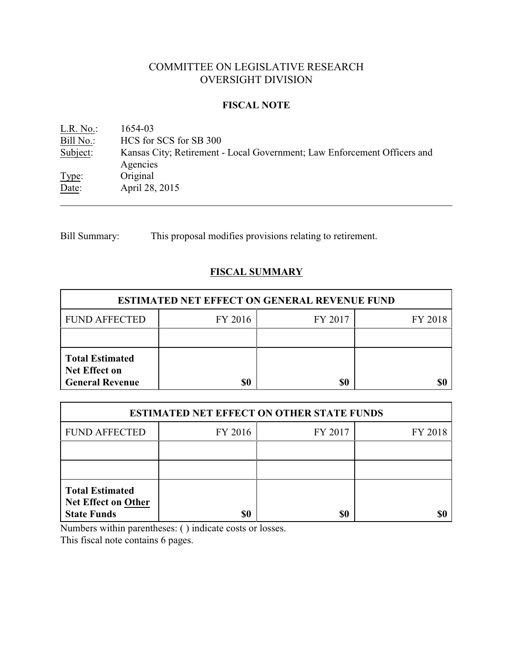# COMMITTEE ON LEGISLATIVE RESEARCH OVERSIGHT DIVISION

#### **FISCAL NOTE**

<u>L.R. No.</u>: 1654-03<br>
<u>Bill No.</u>: HCS for Bill No.: HCS for SCS for SB 300<br>Subject: Kansas City; Retirement -Kansas City; Retirement - Local Government; Law Enforcement Officers and Agencies Type: Original Date: April 28, 2015

Bill Summary: This proposal modifies provisions relating to retirement.

## **FISCAL SUMMARY**

| <b>ESTIMATED NET EFFECT ON GENERAL REVENUE FUND</b>                      |         |         |         |  |
|--------------------------------------------------------------------------|---------|---------|---------|--|
| <b>FUND AFFECTED</b>                                                     | FY 2016 | FY 2017 | FY 2018 |  |
|                                                                          |         |         |         |  |
| <b>Total Estimated</b><br><b>Net Effect on</b><br><b>General Revenue</b> | \$0     | \$0     |         |  |

| <b>ESTIMATED NET EFFECT ON OTHER STATE FUNDS</b>                           |         |         |         |  |
|----------------------------------------------------------------------------|---------|---------|---------|--|
| <b>FUND AFFECTED</b>                                                       | FY 2016 | FY 2017 | FY 2018 |  |
|                                                                            |         |         |         |  |
|                                                                            |         |         |         |  |
| <b>Total Estimated</b><br><b>Net Effect on Other</b><br><b>State Funds</b> | \$0     | \$0     |         |  |

Numbers within parentheses: ( ) indicate costs or losses.

This fiscal note contains 6 pages.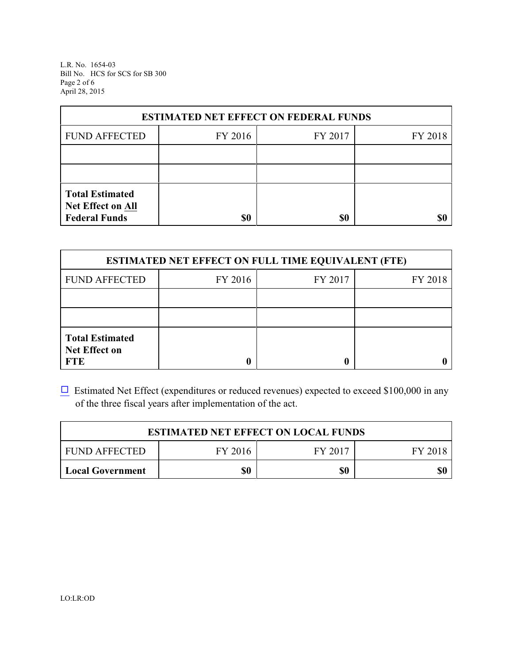L.R. No. 1654-03 Bill No. HCS for SCS for SB 300 Page 2 of 6 April 28, 2015

| <b>ESTIMATED NET EFFECT ON FEDERAL FUNDS</b>                        |         |         |         |  |
|---------------------------------------------------------------------|---------|---------|---------|--|
| <b>FUND AFFECTED</b>                                                | FY 2016 | FY 2017 | FY 2018 |  |
|                                                                     |         |         |         |  |
|                                                                     |         |         |         |  |
| <b>Total Estimated</b><br>Net Effect on All<br><b>Federal Funds</b> | \$0     | \$0     |         |  |

| <b>ESTIMATED NET EFFECT ON FULL TIME EQUIVALENT (FTE)</b>    |         |         |         |  |
|--------------------------------------------------------------|---------|---------|---------|--|
| <b>FUND AFFECTED</b>                                         | FY 2016 | FY 2017 | FY 2018 |  |
|                                                              |         |         |         |  |
|                                                              |         |         |         |  |
| <b>Total Estimated</b><br><b>Net Effect on</b><br><b>FTE</b> |         |         |         |  |

 $\Box$  Estimated Net Effect (expenditures or reduced revenues) expected to exceed \$100,000 in any of the three fiscal years after implementation of the act.

| <b>ESTIMATED NET EFFECT ON LOCAL FUNDS</b> |         |         |         |
|--------------------------------------------|---------|---------|---------|
| <b>FUND AFFECTED</b>                       | FY 2016 | FY 2017 | FY 2018 |
| Local Government                           | \$0     | \$0     | \$0     |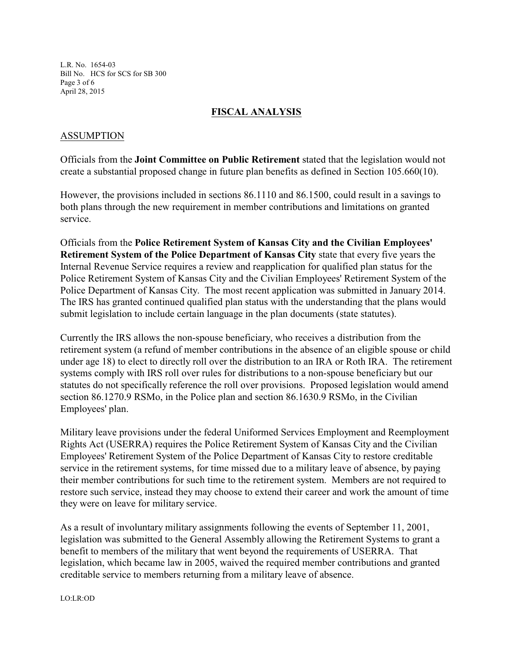L.R. No. 1654-03 Bill No. HCS for SCS for SB 300 Page 3 of 6 April 28, 2015

## **FISCAL ANALYSIS**

#### ASSUMPTION

Officials from the **Joint Committee on Public Retirement** stated that the legislation would not create a substantial proposed change in future plan benefits as defined in Section 105.660(10).

However, the provisions included in sections 86.1110 and 86.1500, could result in a savings to both plans through the new requirement in member contributions and limitations on granted service.

Officials from the **Police Retirement System of Kansas City and the Civilian Employees' Retirement System of the Police Department of Kansas City** state that every five years the Internal Revenue Service requires a review and reapplication for qualified plan status for the Police Retirement System of Kansas City and the Civilian Employees' Retirement System of the Police Department of Kansas City. The most recent application was submitted in January 2014. The IRS has granted continued qualified plan status with the understanding that the plans would submit legislation to include certain language in the plan documents (state statutes).

Currently the IRS allows the non-spouse beneficiary, who receives a distribution from the retirement system (a refund of member contributions in the absence of an eligible spouse or child under age 18) to elect to directly roll over the distribution to an IRA or Roth IRA. The retirement systems comply with IRS roll over rules for distributions to a non-spouse beneficiary but our statutes do not specifically reference the roll over provisions. Proposed legislation would amend section 86.1270.9 RSMo, in the Police plan and section 86.1630.9 RSMo, in the Civilian Employees' plan.

Military leave provisions under the federal Uniformed Services Employment and Reemployment Rights Act (USERRA) requires the Police Retirement System of Kansas City and the Civilian Employees' Retirement System of the Police Department of Kansas City to restore creditable service in the retirement systems, for time missed due to a military leave of absence, by paying their member contributions for such time to the retirement system. Members are not required to restore such service, instead they may choose to extend their career and work the amount of time they were on leave for military service.

As a result of involuntary military assignments following the events of September 11, 2001, legislation was submitted to the General Assembly allowing the Retirement Systems to grant a benefit to members of the military that went beyond the requirements of USERRA. That legislation, which became law in 2005, waived the required member contributions and granted creditable service to members returning from a military leave of absence.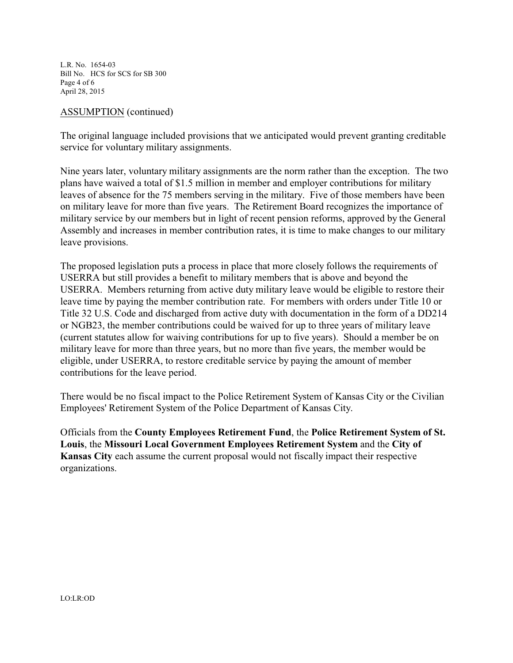L.R. No. 1654-03 Bill No. HCS for SCS for SB 300 Page 4 of 6 April 28, 2015

#### ASSUMPTION (continued)

The original language included provisions that we anticipated would prevent granting creditable service for voluntary military assignments.

Nine years later, voluntary military assignments are the norm rather than the exception. The two plans have waived a total of \$1.5 million in member and employer contributions for military leaves of absence for the 75 members serving in the military. Five of those members have been on military leave for more than five years. The Retirement Board recognizes the importance of military service by our members but in light of recent pension reforms, approved by the General Assembly and increases in member contribution rates, it is time to make changes to our military leave provisions.

The proposed legislation puts a process in place that more closely follows the requirements of USERRA but still provides a benefit to military members that is above and beyond the USERRA. Members returning from active duty military leave would be eligible to restore their leave time by paying the member contribution rate. For members with orders under Title 10 or Title 32 U.S. Code and discharged from active duty with documentation in the form of a DD214 or NGB23, the member contributions could be waived for up to three years of military leave (current statutes allow for waiving contributions for up to five years). Should a member be on military leave for more than three years, but no more than five years, the member would be eligible, under USERRA, to restore creditable service by paying the amount of member contributions for the leave period.

There would be no fiscal impact to the Police Retirement System of Kansas City or the Civilian Employees' Retirement System of the Police Department of Kansas City.

Officials from the **County Employees Retirement Fund**, the **Police Retirement System of St. Louis**, the **Missouri Local Government Employees Retirement System** and the **City of Kansas City** each assume the current proposal would not fiscally impact their respective organizations.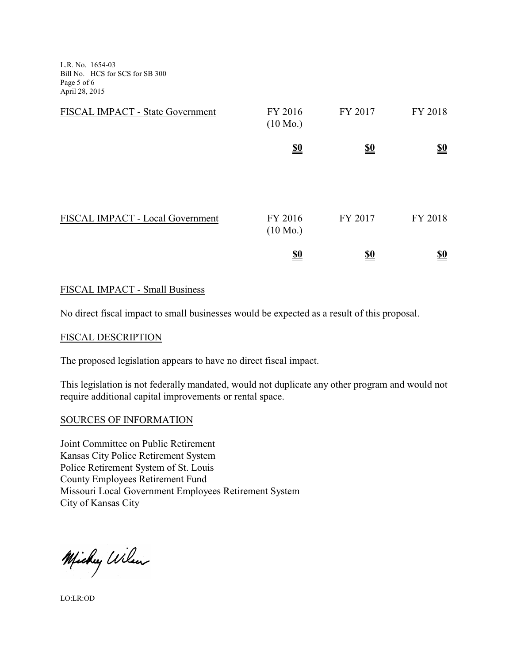L.R. No. 1654-03 Bill No. HCS for SCS for SB 300 Page 5 of 6 April 28, 2015

| FISCAL IMPACT - State Government | FY 2016<br>$(10 \text{ Mo.})$ | FY 2017    | FY 2018    |
|----------------------------------|-------------------------------|------------|------------|
|                                  | $\underline{\underline{\$0}}$ | <u>\$0</u> | <u>\$0</u> |
|                                  |                               |            |            |
| FISCAL IMPACT - Local Government | FY 2016<br>$(10 \text{ Mo.})$ | FY 2017    | FY 2018    |
|                                  | <u>\$0</u>                    | <u>\$0</u> | <u>\$0</u> |

## FISCAL IMPACT - Small Business

No direct fiscal impact to small businesses would be expected as a result of this proposal.

#### FISCAL DESCRIPTION

The proposed legislation appears to have no direct fiscal impact.

This legislation is not federally mandated, would not duplicate any other program and would not require additional capital improvements or rental space.

#### SOURCES OF INFORMATION

Joint Committee on Public Retirement Kansas City Police Retirement System Police Retirement System of St. Louis County Employees Retirement Fund Missouri Local Government Employees Retirement System City of Kansas City

Michy Wilen

LO:LR:OD